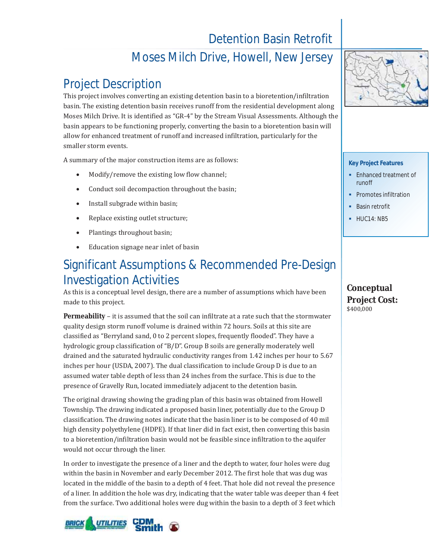# Detention Basin Retrofit

### Moses Milch Drive, Howell, New Jersey

## Project Description

This project involves converting an existing detention basin to a bioretention/infiltration basin. The existing detention basin receives runoff from the residential development along Moses Milch Drive. It is identified as "GR-4" by the Stream Visual Assessments. Although the basin appears to be functioning properly, converting the basin to a bioretention basin will allow for enhanced treatment of runoff and increased infiltration, particularly for the smaller storm events.

A summary of the major construction items are as follows:

- Modify/remove the existing low flow channel;
- Conduct soil decompaction throughout the basin;
- Install subgrade within basin;
- Replace existing outlet structure;
- Plantings throughout basin;
- Education signage near inlet of basin

## Significant Assumptions & Recommended Pre-Design Investigation Activities

As this is a conceptual level design, there are a number of assumptions which have been made to this project.

**Permeability** – it is assumed that the soil can infiltrate at a rate such that the stormwater quality design storm runoff volume is drained within 72 hours. Soils at this site are classified as "Berryland sand, 0 to 2 percent slopes, frequently flooded". They have a hydrologic group classification of "B/D". Group B soils are generally moderately well drained and the saturated hydraulic conductivity ranges from 1.42 inches per hour to 5.67 inches per hour (USDA, 2007). The dual classification to include Group D is due to an assumed water table depth of less than 24 inches from the surface. This is due to the presence of Gravelly Run, located immediately adjacent to the detention basin.

The original drawing showing the grading plan of this basin was obtained from Howell Township. The drawing indicated a proposed basin liner, potentially due to the Group D classification. The drawing notes indicate that the basin liner is to be composed of 40 mil high density polyethylene (HDPE). If that liner did in fact exist, then converting this basin to a bioretention/infiltration basin would not be feasible since infiltration to the aquifer would not occur through the liner.

In order to investigate the presence of a liner and the depth to water, four holes were dug within the basin in November and early December 2012. The first hole that was dug was located in the middle of the basin to a depth of 4 feet. That hole did not reveal the presence of a liner. In addition the hole was dry, indicating that the water table was deeper than 4 feet from the surface. Two additional holes were dug within the basin to a depth of 3 feet which





#### **Key Project Features**

- **Enhanced treatment of** runoff
- Promotes infiltration
- Basin retrofit
- $-HUC14: NB5$

### **Conceptual Project Cost:**  \$400,000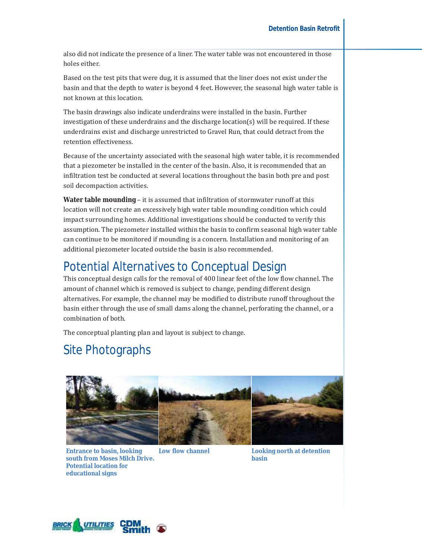also did not indicate the presence of a liner. The water table was not encountered in those holes either.

Based on the test pits that were dug, it is assumed that the liner does not exist under the basin and that the depth to water is beyond 4 feet. However, the seasonal high water table is not known at this location.

The basin drawings also indicate underdrains were installed in the basin. Further investigation of these underdrains and the discharge location(s) will be required. If these underdrains exist and discharge unrestricted to Gravel Run, that could detract from the retention effectiveness.

Because of the uncertainty associated with the seasonal high water table, it is recommended that a piezometer be installed in the center of the basin. Also, it is recommended that an infiltration test be conducted at several locations throughout the basin both pre and post soil decompaction activities.

**Water table mounding** – it is assumed that infiltration of stormwater runoff at this location will not create an excessively high water table mounding condition which could impact surrounding homes. Additional investigations should be conducted to verify this assumption. The piezometer installed within the basin to confirm seasonal high water table can continue to be monitored if mounding is a concern. Installation and monitoring of an additional piezometer located outside the basin is also recommended.

### Potential Alternatives to Conceptual Design

This conceptual design calls for the removal of 400 linear feet of the low flow channel. The amount of channel which is removed is subject to change, pending different design alternatives. For example, the channel may be modified to distribute runoff throughout the basin either through the use of small dams along the channel, perforating the channel, or a combination of both.

The conceptual planting plan and layout is subject to change.

## Site Photographs



**Entrance to basin, looking south from Moses Milch Drive. Potential location for educational signs**

**Low flow channel Looking north at detention basin**

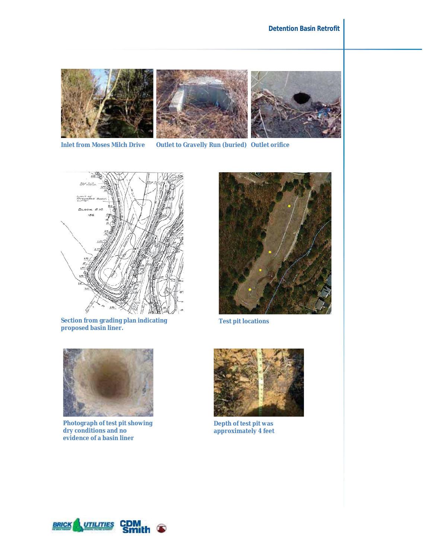





**Inlet from Moses Milch Drive Outlet to Gravelly Run (buried) Outlet orifice**



**Section from grading plan indicating proposed basin liner.**



**Test pit locations**



**Photograph of test pit showing dry conditions and no evidence of a basin liner**



**Depth of test pit was approximately 4 feet** 

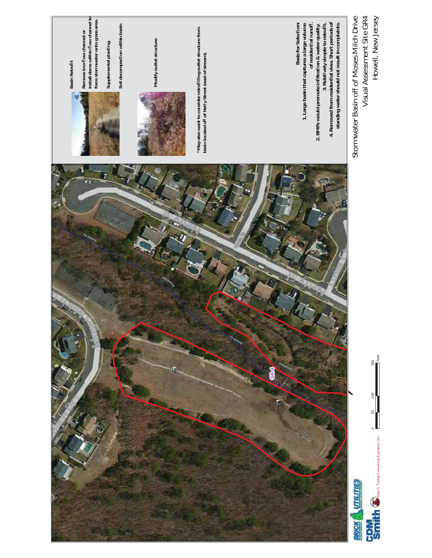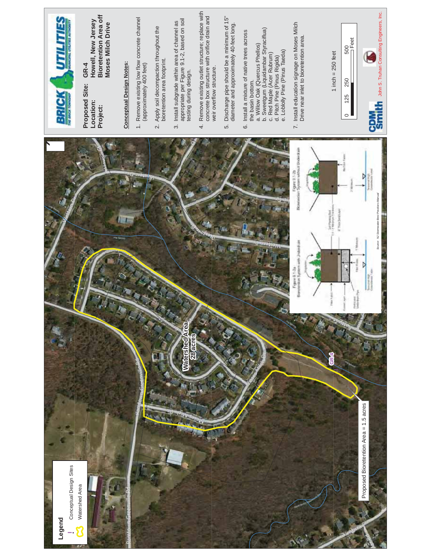